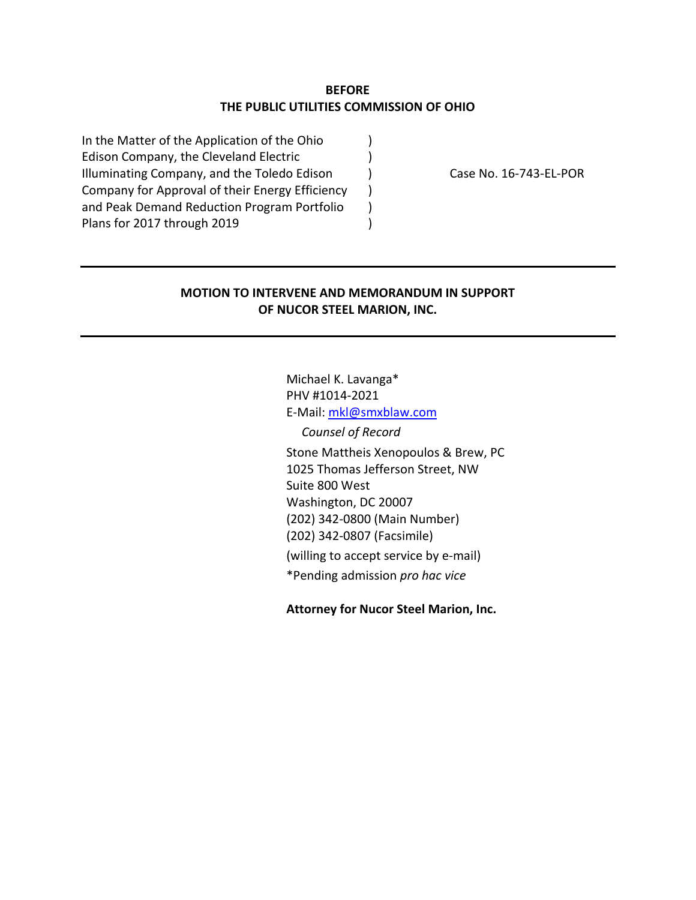## **BEFORE THE PUBLIC UTILITIES COMMISSION OF OHIO**

In the Matter of the Application of the Ohio  $\qquad \qquad$  ) Edison Company, the Cleveland Electric  $\qquad \qquad$  ) Illuminating Company, and the Toledo Edison ) Case No. 16-743-EL-POR Company for Approval of their Energy Efficiency ) and Peak Demand Reduction Program Portfolio  $\qquad$  ) Plans for 2017 through 2019

## **MOTION TO INTERVENE AND MEMORANDUM IN SUPPORT OF NUCOR STEEL MARION, INC.**

Michael K. Lavanga\* PHV #1014‐2021 E‐Mail: mkl@smxblaw.com *Counsel of Record*  Stone Mattheis Xenopoulos & Brew, PC 1025 Thomas Jefferson Street, NW Suite 800 West Washington, DC 20007 (202) 342‐0800 (Main Number) (202) 342‐0807 (Facsimile)

(willing to accept service by e‐mail)

\*Pending admission *pro hac vice* 

**Attorney for Nucor Steel Marion, Inc.**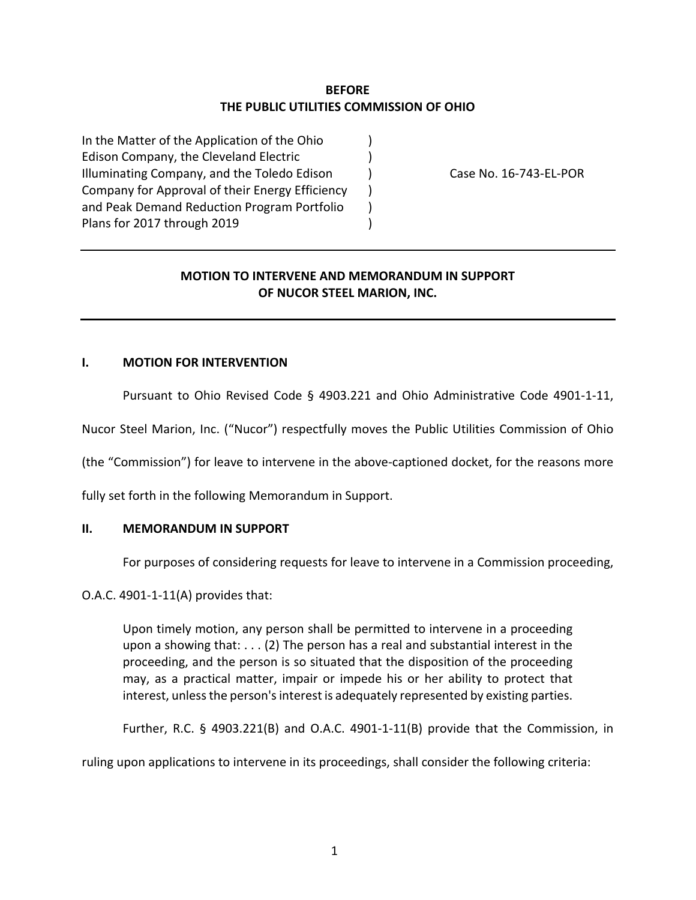# **BEFORE THE PUBLIC UTILITIES COMMISSION OF OHIO**

In the Matter of the Application of the Ohio  $\qquad \qquad$  ) Edison Company, the Cleveland Electric  $\qquad \qquad$  ) Illuminating Company, and the Toledo Edison (Case No. 16-743-EL-POR Company for Approval of their Energy Efficiency ) and Peak Demand Reduction Program Portfolio  $\qquad$  ) Plans for 2017 through 2019 (a)

# **MOTION TO INTERVENE AND MEMORANDUM IN SUPPORT OF NUCOR STEEL MARION, INC.**

## **I. MOTION FOR INTERVENTION**

Pursuant to Ohio Revised Code § 4903.221 and Ohio Administrative Code 4901-1-11,

Nucor Steel Marion, Inc. ("Nucor") respectfully moves the Public Utilities Commission of Ohio

(the "Commission") for leave to intervene in the above‐captioned docket, for the reasons more

fully set forth in the following Memorandum in Support.

#### **II. MEMORANDUM IN SUPPORT**

For purposes of considering requests for leave to intervene in a Commission proceeding,

O.A.C. 4901‐1‐11(A) provides that:

Upon timely motion, any person shall be permitted to intervene in a proceeding upon a showing that: . . . (2) The person has a real and substantial interest in the proceeding, and the person is so situated that the disposition of the proceeding may, as a practical matter, impair or impede his or her ability to protect that interest, unless the person's interest is adequately represented by existing parties.

Further, R.C.  $\S$  4903.221(B) and O.A.C. 4901-1-11(B) provide that the Commission, in

ruling upon applications to intervene in its proceedings, shall consider the following criteria: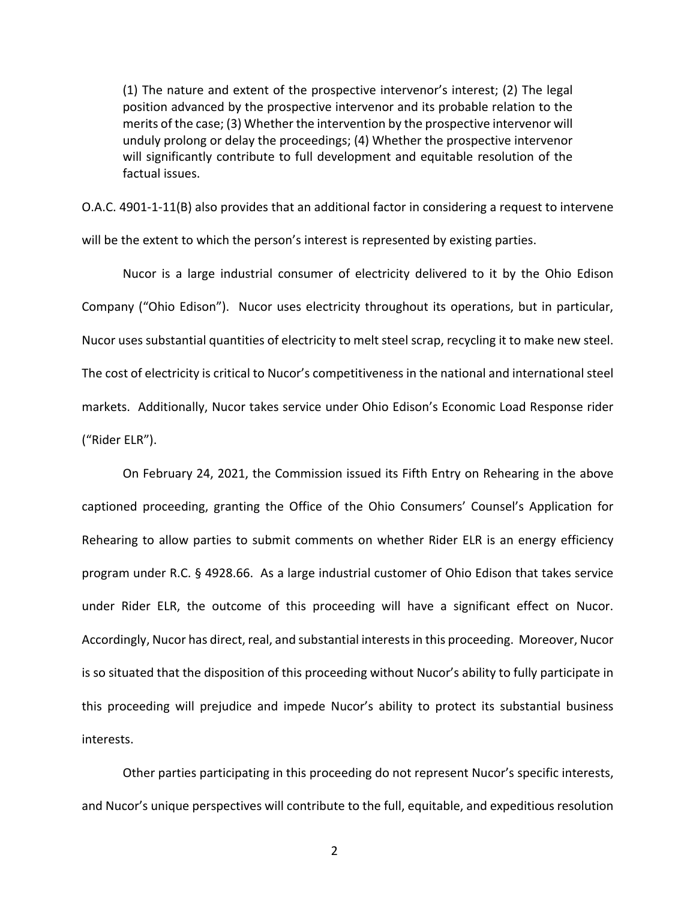(1) The nature and extent of the prospective intervenor's interest; (2) The legal position advanced by the prospective intervenor and its probable relation to the merits of the case; (3) Whether the intervention by the prospective intervenor will unduly prolong or delay the proceedings; (4) Whether the prospective intervenor will significantly contribute to full development and equitable resolution of the factual issues.

O.A.C. 4901‐1‐11(B) also provides that an additional factor in considering a request to intervene will be the extent to which the person's interest is represented by existing parties.

Nucor is a large industrial consumer of electricity delivered to it by the Ohio Edison Company ("Ohio Edison"). Nucor uses electricity throughout its operations, but in particular, Nucor uses substantial quantities of electricity to melt steel scrap, recycling it to make new steel. The cost of electricity is critical to Nucor's competitiveness in the national and international steel markets. Additionally, Nucor takes service under Ohio Edison's Economic Load Response rider ("Rider ELR").

On February 24, 2021, the Commission issued its Fifth Entry on Rehearing in the above captioned proceeding, granting the Office of the Ohio Consumers' Counsel's Application for Rehearing to allow parties to submit comments on whether Rider ELR is an energy efficiency program under R.C. § 4928.66. As a large industrial customer of Ohio Edison that takes service under Rider ELR, the outcome of this proceeding will have a significant effect on Nucor. Accordingly, Nucor has direct, real, and substantial interests in this proceeding. Moreover, Nucor is so situated that the disposition of this proceeding without Nucor's ability to fully participate in this proceeding will prejudice and impede Nucor's ability to protect its substantial business interests.

Other parties participating in this proceeding do not represent Nucor's specific interests, and Nucor's unique perspectives will contribute to the full, equitable, and expeditious resolution

2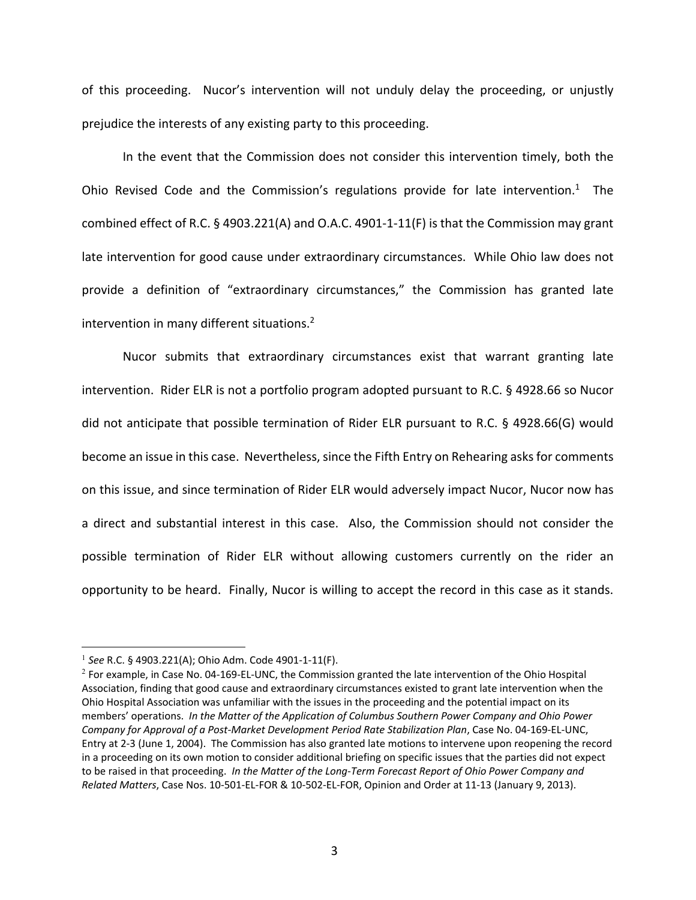of this proceeding. Nucor's intervention will not unduly delay the proceeding, or unjustly prejudice the interests of any existing party to this proceeding.

In the event that the Commission does not consider this intervention timely, both the Ohio Revised Code and the Commission's regulations provide for late intervention.<sup>1</sup> The combined effect of R.C. § 4903.221(A) and O.A.C. 4901‐1‐11(F) is that the Commission may grant late intervention for good cause under extraordinary circumstances. While Ohio law does not provide a definition of "extraordinary circumstances," the Commission has granted late intervention in many different situations.2

Nucor submits that extraordinary circumstances exist that warrant granting late intervention. Rider ELR is not a portfolio program adopted pursuant to R.C. § 4928.66 so Nucor did not anticipate that possible termination of Rider ELR pursuant to R.C. § 4928.66(G) would become an issue in this case. Nevertheless, since the Fifth Entry on Rehearing asks for comments on this issue, and since termination of Rider ELR would adversely impact Nucor, Nucor now has a direct and substantial interest in this case. Also, the Commission should not consider the possible termination of Rider ELR without allowing customers currently on the rider an opportunity to be heard. Finally, Nucor is willing to accept the record in this case as it stands.

<sup>1</sup> *See* R.C. § 4903.221(A); Ohio Adm. Code 4901‐1‐11(F).

 $2$  For example, in Case No. 04-169-EL-UNC, the Commission granted the late intervention of the Ohio Hospital Association, finding that good cause and extraordinary circumstances existed to grant late intervention when the Ohio Hospital Association was unfamiliar with the issues in the proceeding and the potential impact on its members' operations. *In the Matter of the Application of Columbus Southern Power Company and Ohio Power Company for Approval of a Post‐Market Development Period Rate Stabilization Plan*, Case No. 04‐169‐EL‐UNC, Entry at 2‐3 (June 1, 2004). The Commission has also granted late motions to intervene upon reopening the record in a proceeding on its own motion to consider additional briefing on specific issues that the parties did not expect to be raised in that proceeding. *In the Matter of the Long‐Term Forecast Report of Ohio Power Company and Related Matters*, Case Nos. 10‐501‐EL‐FOR & 10‐502‐EL‐FOR, Opinion and Order at 11‐13 (January 9, 2013).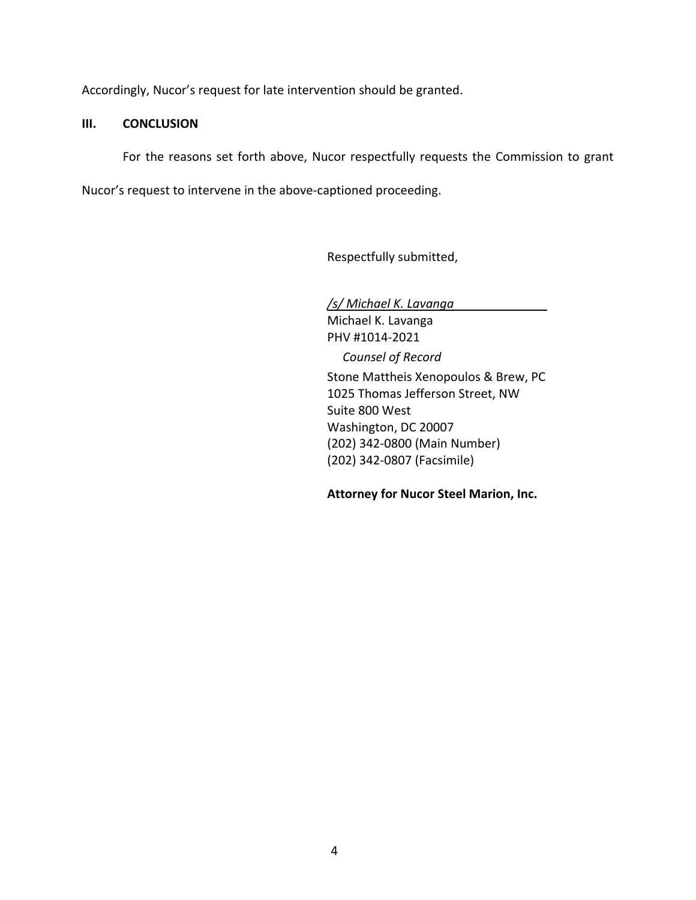Accordingly, Nucor's request for late intervention should be granted.

## **III. CONCLUSION**

For the reasons set forth above, Nucor respectfully requests the Commission to grant

Nucor's request to intervene in the above‐captioned proceeding.

Respectfully submitted,

*/s/ Michael K. Lavanga* Michael K. Lavanga PHV #1014‐2021 *Counsel of Record*  Stone Mattheis Xenopoulos & Brew, PC 1025 Thomas Jefferson Street, NW Suite 800 West Washington, DC 20007 (202) 342‐0800 (Main Number) (202) 342‐0807 (Facsimile)

**Attorney for Nucor Steel Marion, Inc.**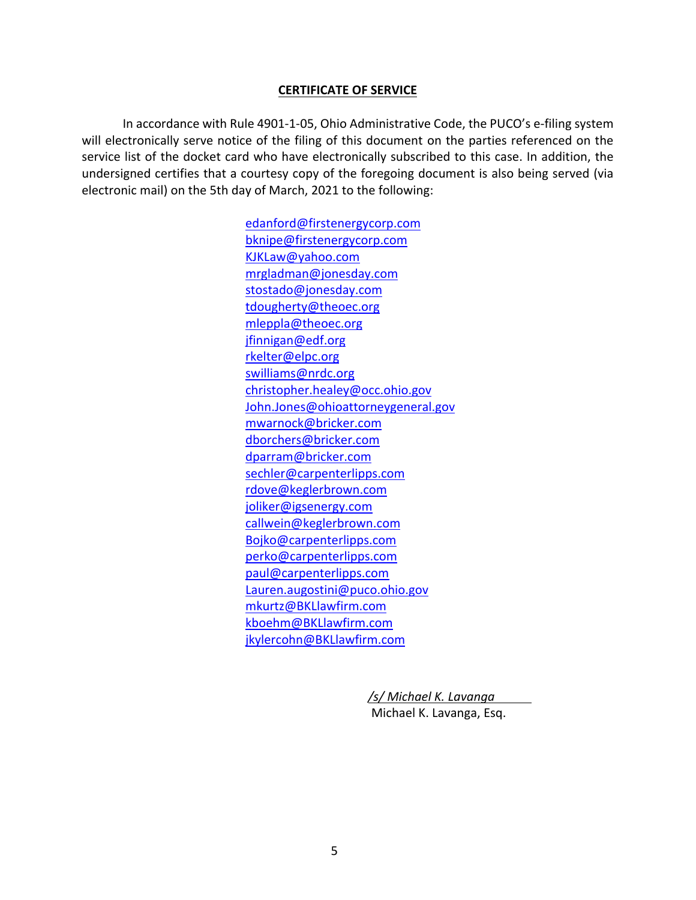## **CERTIFICATE OF SERVICE**

 In accordance with Rule 4901‐1‐05, Ohio Administrative Code, the PUCO's e‐filing system will electronically serve notice of the filing of this document on the parties referenced on the service list of the docket card who have electronically subscribed to this case. In addition, the undersigned certifies that a courtesy copy of the foregoing document is also being served (via electronic mail) on the 5th day of March, 2021 to the following:

> edanford@firstenergycorp.com bknipe@firstenergycorp.com KJKLaw@yahoo.com mrgladman@jonesday.com stostado@jonesday.com tdougherty@theoec.org mleppla@theoec.org jfinnigan@edf.org rkelter@elpc.org swilliams@nrdc.org christopher.healey@occ.ohio.gov John.Jones@ohioattorneygeneral.gov mwarnock@bricker.com dborchers@bricker.com dparram@bricker.com sechler@carpenterlipps.com rdove@keglerbrown.com joliker@igsenergy.com callwein@keglerbrown.com Bojko@carpenterlipps.com perko@carpenterlipps.com paul@carpenterlipps.com Lauren.augostini@puco.ohio.gov mkurtz@BKLlawfirm.com kboehm@BKLlawfirm.com jkylercohn@BKLlawfirm.com

> > */s/ Michael K. Lavanga*  Michael K. Lavanga, Esq.